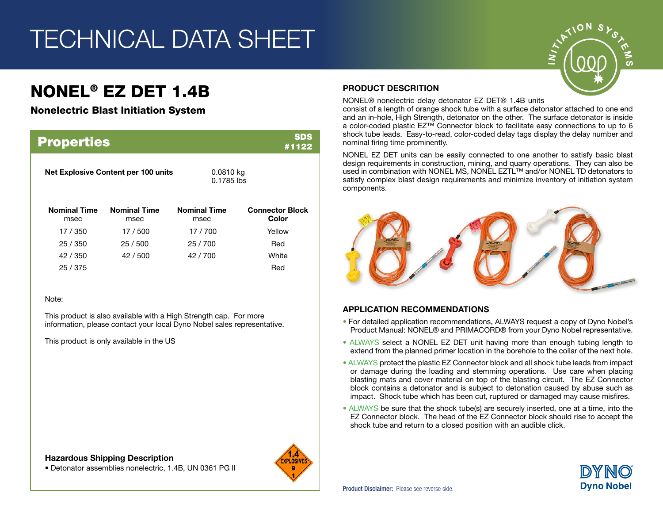# TECHNICAL DATA SHEET

# NONEL® EZ DET 1.4B

### Nonelectric Blast Initiation System

| SDS<br><b>Properties</b><br>#1122   |                             |                             |                                 |  |
|-------------------------------------|-----------------------------|-----------------------------|---------------------------------|--|
| Net Explosive Content per 100 units |                             | 0.0810 kg<br>$0.1785$ lbs   |                                 |  |
| <b>Nominal Time</b><br>msec         | <b>Nominal Time</b><br>msec | <b>Nominal Time</b><br>msec | <b>Connector Block</b><br>Color |  |
| 17 / 350                            | 17/500                      | 17/700                      | Yellow                          |  |
| 25/350                              | 25/500                      | 25/700                      | Red                             |  |
| 42 / 350                            | 42 / 500                    | 42/700                      | White                           |  |
| 25/375                              |                             |                             | Red                             |  |

#### Note:

This product is also available with a High Strength cap. For more information, please contact your local Dyno Nobel sales representative.

This product is only available in the US

#### Hazardous Shipping Description





### PRODUCT DESCRITION

NONEL® nonelectric delay detonator EZ DET® 1.4B units

consist of a length of orange shock tube with a surface detonator attached to one end and an in-hole, High Strength, detonator on the other. The surface detonator is inside a color-coded plastic EZ™ Connector block to facilitate easy connections to up to 6 shock tube leads. Easy-to-read, color-coded delay tags display the delay number and nominal firing time prominently.

NONEL EZ DET units can be easily connected to one another to satisfy basic blast design requirements in construction, mining, and quarry operations. They can also be used in combination with NONEL MS, NONEL EZTL™ and/or NONEL TD detonators to satisfy complex blast design requirements and minimize inventory of initiation system components.



### APPLICATION RECOMMENDATIONS

- For detailed application recommendations, ALWAYS request a copy of Dyno Nobel's Product Manual: NONEL® and PRIMACORD® from your Dyno Nobel representative.
- ALWAYS select a NONEL EZ DET unit having more than enough tubing length to extend from the planned primer location in the borehole to the collar of the next hole.
- ALWAYS protect the plastic EZ Connector block and all shock tube leads from impact or damage during the loading and stemming operations. Use care when placing blasting mats and cover material on top of the blasting circuit. The EZ Connector block contains a detonator and is subject to detonation caused by abuse such as impact. Shock tube which has been cut, ruptured or damaged may cause misfires.
- ALWAYS be sure that the shock tube(s) are securely inserted, one at a time, into the EZ Connector block. The head of the EZ Connector block should rise to accept the shock tube and return to a closed position with an audible click.